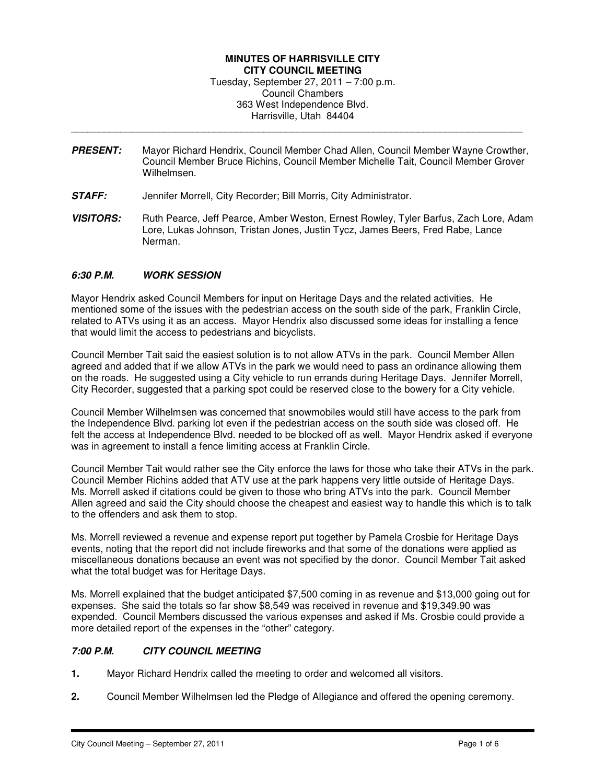### **MINUTES OF HARRISVILLE CITY CITY COUNCIL MEETING**  Tuesday, September 27, 2011 – 7:00 p.m. Council Chambers 363 West Independence Blvd. Harrisville, Utah 84404

**PRESENT:** Mayor Richard Hendrix, Council Member Chad Allen, Council Member Wayne Crowther, Council Member Bruce Richins, Council Member Michelle Tait, Council Member Grover Wilhelmsen.

\_\_\_\_\_\_\_\_\_\_\_\_\_\_\_\_\_\_\_\_\_\_\_\_\_\_\_\_\_\_\_\_\_\_\_\_\_\_\_\_\_\_\_\_\_\_\_\_\_\_\_\_\_\_\_\_\_\_\_\_\_\_\_\_\_\_\_\_\_\_\_\_\_\_\_\_\_\_\_\_\_\_

- **STAFF:** Jennifer Morrell, City Recorder; Bill Morris, City Administrator.
- **VISITORS:** Ruth Pearce, Jeff Pearce, Amber Weston, Ernest Rowley, Tyler Barfus, Zach Lore, Adam Lore, Lukas Johnson, Tristan Jones, Justin Tycz, James Beers, Fred Rabe, Lance Nerman.

## **6:30 P.M. WORK SESSION**

Mayor Hendrix asked Council Members for input on Heritage Days and the related activities. He mentioned some of the issues with the pedestrian access on the south side of the park, Franklin Circle, related to ATVs using it as an access. Mayor Hendrix also discussed some ideas for installing a fence that would limit the access to pedestrians and bicyclists.

Council Member Tait said the easiest solution is to not allow ATVs in the park. Council Member Allen agreed and added that if we allow ATVs in the park we would need to pass an ordinance allowing them on the roads. He suggested using a City vehicle to run errands during Heritage Days. Jennifer Morrell, City Recorder, suggested that a parking spot could be reserved close to the bowery for a City vehicle.

Council Member Wilhelmsen was concerned that snowmobiles would still have access to the park from the Independence Blvd. parking lot even if the pedestrian access on the south side was closed off. He felt the access at Independence Blvd. needed to be blocked off as well. Mayor Hendrix asked if everyone was in agreement to install a fence limiting access at Franklin Circle.

Council Member Tait would rather see the City enforce the laws for those who take their ATVs in the park. Council Member Richins added that ATV use at the park happens very little outside of Heritage Days. Ms. Morrell asked if citations could be given to those who bring ATVs into the park. Council Member Allen agreed and said the City should choose the cheapest and easiest way to handle this which is to talk to the offenders and ask them to stop.

Ms. Morrell reviewed a revenue and expense report put together by Pamela Crosbie for Heritage Days events, noting that the report did not include fireworks and that some of the donations were applied as miscellaneous donations because an event was not specified by the donor. Council Member Tait asked what the total budget was for Heritage Days.

Ms. Morrell explained that the budget anticipated \$7,500 coming in as revenue and \$13,000 going out for expenses. She said the totals so far show \$8,549 was received in revenue and \$19,349.90 was expended. Council Members discussed the various expenses and asked if Ms. Crosbie could provide a more detailed report of the expenses in the "other" category.

# **7:00 P.M. CITY COUNCIL MEETING**

- **1.** Mayor Richard Hendrix called the meeting to order and welcomed all visitors.
- **2.** Council Member Wilhelmsen led the Pledge of Allegiance and offered the opening ceremony.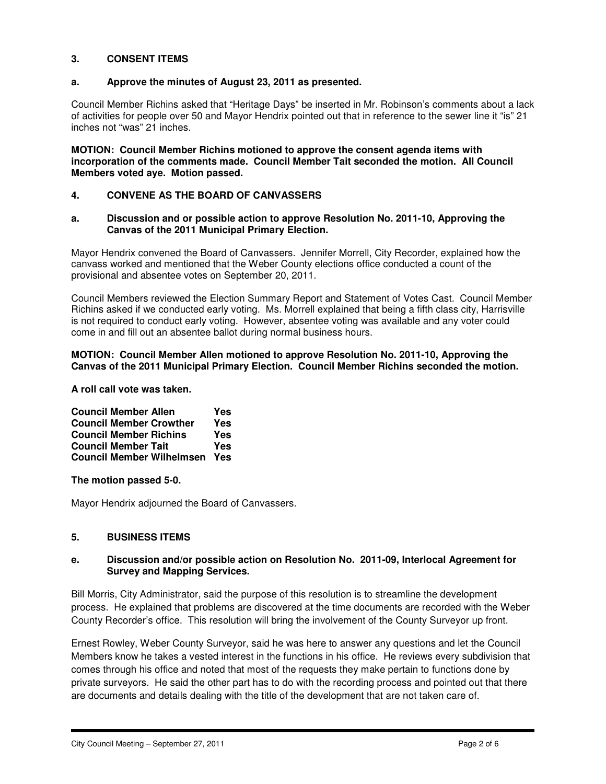## **3. CONSENT ITEMS**

## **a. Approve the minutes of August 23, 2011 as presented.**

Council Member Richins asked that "Heritage Days" be inserted in Mr. Robinson's comments about a lack of activities for people over 50 and Mayor Hendrix pointed out that in reference to the sewer line it "is" 21 inches not "was" 21 inches.

**MOTION: Council Member Richins motioned to approve the consent agenda items with incorporation of the comments made. Council Member Tait seconded the motion. All Council Members voted aye. Motion passed.** 

## **4. CONVENE AS THE BOARD OF CANVASSERS**

### **a. Discussion and or possible action to approve Resolution No. 2011-10, Approving the Canvas of the 2011 Municipal Primary Election.**

Mayor Hendrix convened the Board of Canvassers. Jennifer Morrell, City Recorder, explained how the canvass worked and mentioned that the Weber County elections office conducted a count of the provisional and absentee votes on September 20, 2011.

Council Members reviewed the Election Summary Report and Statement of Votes Cast. Council Member Richins asked if we conducted early voting. Ms. Morrell explained that being a fifth class city, Harrisville is not required to conduct early voting. However, absentee voting was available and any voter could come in and fill out an absentee ballot during normal business hours.

### **MOTION: Council Member Allen motioned to approve Resolution No. 2011-10, Approving the Canvas of the 2011 Municipal Primary Election. Council Member Richins seconded the motion.**

**A roll call vote was taken.** 

| <b>Council Member Allen</b>      | Yes |
|----------------------------------|-----|
| <b>Council Member Crowther</b>   | Yes |
| <b>Council Member Richins</b>    | Yes |
| <b>Council Member Tait</b>       | Yes |
| <b>Council Member Wilhelmsen</b> | Yes |

**The motion passed 5-0.** 

Mayor Hendrix adjourned the Board of Canvassers.

## **5. BUSINESS ITEMS**

## **e. Discussion and/or possible action on Resolution No. 2011-09, Interlocal Agreement for Survey and Mapping Services.**

Bill Morris, City Administrator, said the purpose of this resolution is to streamline the development process. He explained that problems are discovered at the time documents are recorded with the Weber County Recorder's office. This resolution will bring the involvement of the County Surveyor up front.

Ernest Rowley, Weber County Surveyor, said he was here to answer any questions and let the Council Members know he takes a vested interest in the functions in his office. He reviews every subdivision that comes through his office and noted that most of the requests they make pertain to functions done by private surveyors. He said the other part has to do with the recording process and pointed out that there are documents and details dealing with the title of the development that are not taken care of.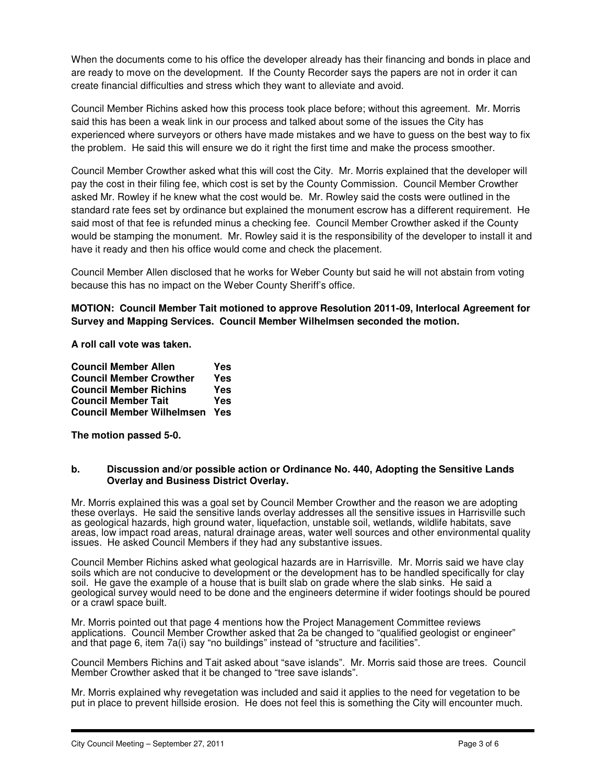When the documents come to his office the developer already has their financing and bonds in place and are ready to move on the development. If the County Recorder says the papers are not in order it can create financial difficulties and stress which they want to alleviate and avoid.

Council Member Richins asked how this process took place before; without this agreement. Mr. Morris said this has been a weak link in our process and talked about some of the issues the City has experienced where surveyors or others have made mistakes and we have to guess on the best way to fix the problem. He said this will ensure we do it right the first time and make the process smoother.

Council Member Crowther asked what this will cost the City. Mr. Morris explained that the developer will pay the cost in their filing fee, which cost is set by the County Commission. Council Member Crowther asked Mr. Rowley if he knew what the cost would be. Mr. Rowley said the costs were outlined in the standard rate fees set by ordinance but explained the monument escrow has a different requirement. He said most of that fee is refunded minus a checking fee. Council Member Crowther asked if the County would be stamping the monument. Mr. Rowley said it is the responsibility of the developer to install it and have it ready and then his office would come and check the placement.

Council Member Allen disclosed that he works for Weber County but said he will not abstain from voting because this has no impact on the Weber County Sheriff's office.

## **MOTION: Council Member Tait motioned to approve Resolution 2011-09, Interlocal Agreement for Survey and Mapping Services. Council Member Wilhelmsen seconded the motion.**

**A roll call vote was taken.** 

| <b>Council Member Allen</b>      | Yes |
|----------------------------------|-----|
| <b>Council Member Crowther</b>   | Yes |
| <b>Council Member Richins</b>    | Yes |
| <b>Council Member Tait</b>       | Yes |
| <b>Council Member Wilhelmsen</b> | Yes |

**The motion passed 5-0.** 

### **b. Discussion and/or possible action or Ordinance No. 440, Adopting the Sensitive Lands Overlay and Business District Overlay.**

Mr. Morris explained this was a goal set by Council Member Crowther and the reason we are adopting these overlays. He said the sensitive lands overlay addresses all the sensitive issues in Harrisville such as geological hazards, high ground water, liquefaction, unstable soil, wetlands, wildlife habitats, save areas, low impact road areas, natural drainage areas, water well sources and other environmental quality issues. He asked Council Members if they had any substantive issues.

Council Member Richins asked what geological hazards are in Harrisville. Mr. Morris said we have clay soils which are not conducive to development or the development has to be handled specifically for clay soil. He gave the example of a house that is built slab on grade where the slab sinks. He said a geological survey would need to be done and the engineers determine if wider footings should be poured or a crawl space built.

Mr. Morris pointed out that page 4 mentions how the Project Management Committee reviews applications. Council Member Crowther asked that 2a be changed to "qualified geologist or engineer" and that page 6, item 7a(i) say "no buildings" instead of "structure and facilities".

Council Members Richins and Tait asked about "save islands". Mr. Morris said those are trees. Council Member Crowther asked that it be changed to "tree save islands".

Mr. Morris explained why revegetation was included and said it applies to the need for vegetation to be put in place to prevent hillside erosion. He does not feel this is something the City will encounter much.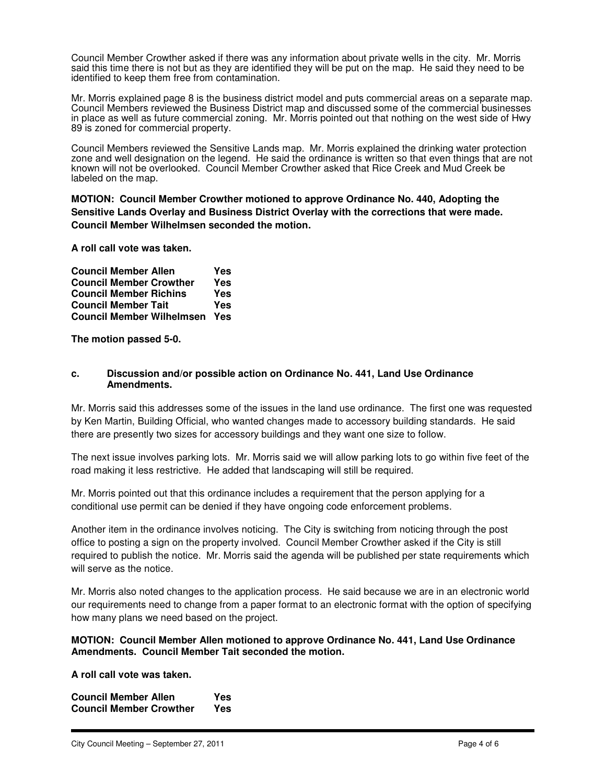Council Member Crowther asked if there was any information about private wells in the city. Mr. Morris said this time there is not but as they are identified they will be put on the map. He said they need to be identified to keep them free from contamination.

Mr. Morris explained page 8 is the business district model and puts commercial areas on a separate map. Council Members reviewed the Business District map and discussed some of the commercial businesses in place as well as future commercial zoning. Mr. Morris pointed out that nothing on the west side of Hwy 89 is zoned for commercial property.

Council Members reviewed the Sensitive Lands map. Mr. Morris explained the drinking water protection zone and well designation on the legend. He said the ordinance is written so that even things that are not known will not be overlooked. Council Member Crowther asked that Rice Creek and Mud Creek be labeled on the map.

**MOTION: Council Member Crowther motioned to approve Ordinance No. 440, Adopting the Sensitive Lands Overlay and Business District Overlay with the corrections that were made. Council Member Wilhelmsen seconded the motion.** 

**A roll call vote was taken.** 

| <b>Council Member Allen</b>      | Yes |
|----------------------------------|-----|
| <b>Council Member Crowther</b>   | Yes |
| <b>Council Member Richins</b>    | Yes |
| <b>Council Member Tait</b>       | Yes |
| <b>Council Member Wilhelmsen</b> | Yes |

**The motion passed 5-0.** 

### **c. Discussion and/or possible action on Ordinance No. 441, Land Use Ordinance Amendments.**

Mr. Morris said this addresses some of the issues in the land use ordinance. The first one was requested by Ken Martin, Building Official, who wanted changes made to accessory building standards. He said there are presently two sizes for accessory buildings and they want one size to follow.

The next issue involves parking lots. Mr. Morris said we will allow parking lots to go within five feet of the road making it less restrictive. He added that landscaping will still be required.

Mr. Morris pointed out that this ordinance includes a requirement that the person applying for a conditional use permit can be denied if they have ongoing code enforcement problems.

Another item in the ordinance involves noticing. The City is switching from noticing through the post office to posting a sign on the property involved. Council Member Crowther asked if the City is still required to publish the notice. Mr. Morris said the agenda will be published per state requirements which will serve as the notice.

Mr. Morris also noted changes to the application process. He said because we are in an electronic world our requirements need to change from a paper format to an electronic format with the option of specifying how many plans we need based on the project.

## **MOTION: Council Member Allen motioned to approve Ordinance No. 441, Land Use Ordinance Amendments. Council Member Tait seconded the motion.**

**A roll call vote was taken.** 

**Council Member Allen State State**<br> **Council Member Crowther State Council Member Crowther**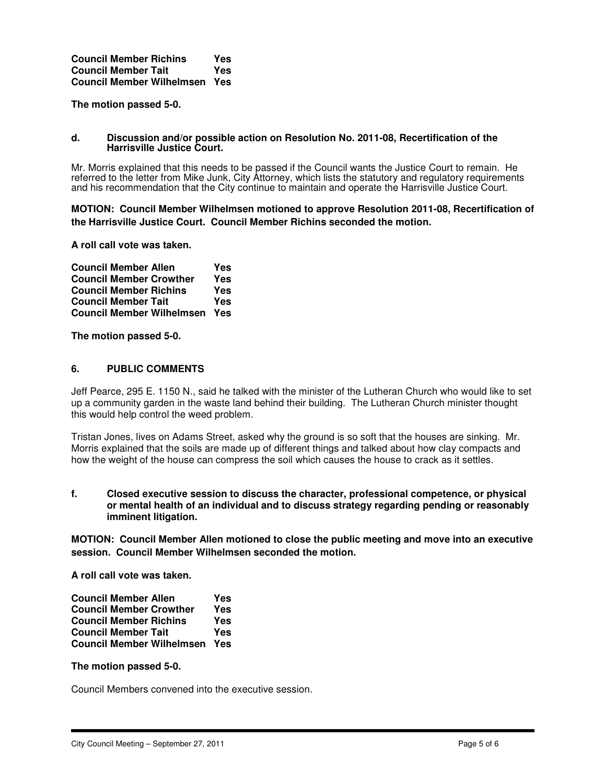| <b>Council Member Richins</b>    | Yes |
|----------------------------------|-----|
| <b>Council Member Tait</b>       | Yes |
| <b>Council Member Wilhelmsen</b> | Yes |

**The motion passed 5-0.** 

#### **d. Discussion and/or possible action on Resolution No. 2011-08, Recertification of the Harrisville Justice Court.**

Mr. Morris explained that this needs to be passed if the Council wants the Justice Court to remain. He referred to the letter from Mike Junk, City Attorney, which lists the statutory and regulatory requirements and his recommendation that the City continue to maintain and operate the Harrisville Justice Court.

**MOTION: Council Member Wilhelmsen motioned to approve Resolution 2011-08, Recertification of the Harrisville Justice Court. Council Member Richins seconded the motion.** 

**A roll call vote was taken.** 

| <b>Council Member Allen</b>      | Yes |
|----------------------------------|-----|
| <b>Council Member Crowther</b>   | Yes |
| <b>Council Member Richins</b>    | Yes |
| <b>Council Member Tait</b>       | Yes |
| <b>Council Member Wilhelmsen</b> | Yes |

**The motion passed 5-0.** 

### **6. PUBLIC COMMENTS**

Jeff Pearce, 295 E. 1150 N., said he talked with the minister of the Lutheran Church who would like to set up a community garden in the waste land behind their building. The Lutheran Church minister thought this would help control the weed problem.

Tristan Jones, lives on Adams Street, asked why the ground is so soft that the houses are sinking. Mr. Morris explained that the soils are made up of different things and talked about how clay compacts and how the weight of the house can compress the soil which causes the house to crack as it settles.

#### **f. Closed executive session to discuss the character, professional competence, or physical or mental health of an individual and to discuss strategy regarding pending or reasonably imminent litigation.**

**MOTION: Council Member Allen motioned to close the public meeting and move into an executive session. Council Member Wilhelmsen seconded the motion.** 

**A roll call vote was taken.** 

| <b>Council Member Allen</b>      | Yes |
|----------------------------------|-----|
| <b>Council Member Crowther</b>   | Yes |
| <b>Council Member Richins</b>    | Yes |
| <b>Council Member Tait</b>       | Yes |
| <b>Council Member Wilhelmsen</b> | Yes |

#### **The motion passed 5-0.**

Council Members convened into the executive session.